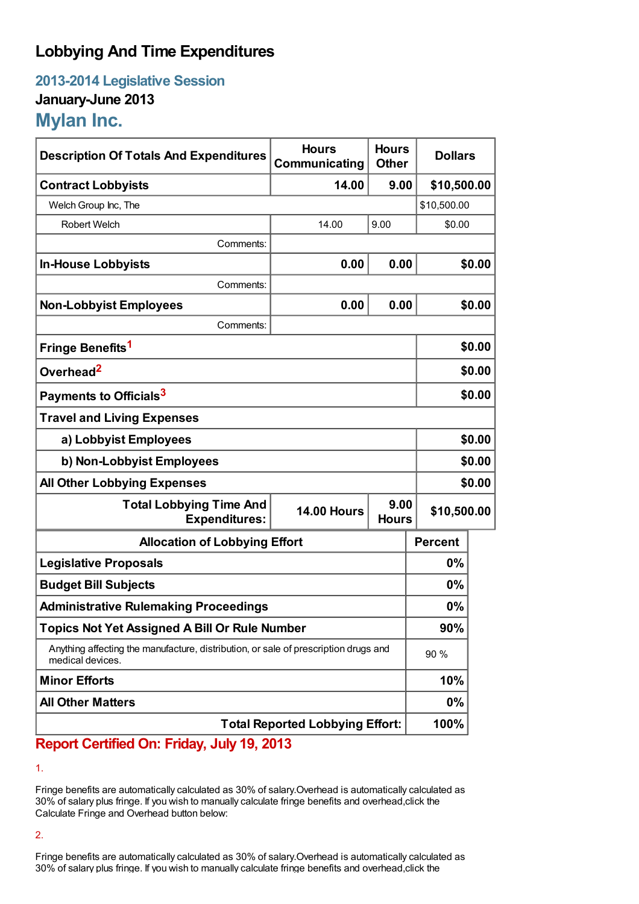## **Lobbying And Time Expenditures**

**2013-2014 Legislative Session January-June 2013 Mylan Inc.**

| <b>Description Of Totals And Expenditures</b>                                                           | <b>Hours</b><br>Communicating | <b>Hours</b><br><b>Other</b> | <b>Dollars</b> |        |
|---------------------------------------------------------------------------------------------------------|-------------------------------|------------------------------|----------------|--------|
| <b>Contract Lobbyists</b>                                                                               | 14.00                         | 9.00                         | \$10,500.00    |        |
| Welch Group Inc, The                                                                                    |                               |                              | \$10,500.00    |        |
| <b>Robert Welch</b>                                                                                     | 14.00                         | 9.00                         | \$0.00         |        |
| Comments:                                                                                               |                               |                              |                |        |
| <b>In-House Lobbyists</b>                                                                               | 0.00                          | 0.00                         |                | \$0.00 |
| Comments:                                                                                               |                               |                              |                |        |
| <b>Non-Lobbyist Employees</b>                                                                           | 0.00                          | 0.00                         |                | \$0.00 |
| Comments:                                                                                               |                               |                              |                |        |
| Fringe Benefits <sup>1</sup>                                                                            |                               |                              |                | \$0.00 |
| Overhead <sup>2</sup>                                                                                   |                               |                              |                | \$0.00 |
| Payments to Officials <sup>3</sup>                                                                      |                               |                              |                | \$0.00 |
| <b>Travel and Living Expenses</b>                                                                       |                               |                              |                |        |
| a) Lobbyist Employees                                                                                   |                               |                              | \$0.00         |        |
| b) Non-Lobbyist Employees                                                                               |                               |                              | \$0.00         |        |
| <b>All Other Lobbying Expenses</b>                                                                      |                               |                              |                | \$0.00 |
| <b>Total Lobbying Time And</b><br><b>Expenditures:</b>                                                  | <b>14.00 Hours</b>            | 9.00<br><b>Hours</b>         | \$10,500.00    |        |
| <b>Allocation of Lobbying Effort</b>                                                                    |                               |                              | <b>Percent</b> |        |
| <b>Legislative Proposals</b>                                                                            |                               |                              | $0\%$          |        |
| <b>Budget Bill Subjects</b>                                                                             |                               |                              | $0\%$          |        |
| <b>Administrative Rulemaking Proceedings</b>                                                            |                               |                              | 0%             |        |
| <b>Topics Not Yet Assigned A Bill Or Rule Number</b>                                                    |                               |                              | 90%            |        |
| Anything affecting the manufacture, distribution, or sale of prescription drugs and<br>medical devices. |                               |                              | 90 %           |        |
| <b>Minor Efforts</b>                                                                                    |                               |                              | 10%            |        |
| <b>All Other Matters</b>                                                                                |                               |                              | 0%             |        |
| <b>Total Reported Lobbying Effort:</b>                                                                  |                               |                              | 100%           |        |

## **Report Certified On: Friday, July 19, 2013**

1.

Fringe benefits are automatically calculated as 30% of salary.Overhead is automatically calculated as 30% of salary plus fringe. If you wish to manually calculate fringe benefits and overhead,click the Calculate Fringe and Overhead button below:

2.

Fringe benefits are automatically calculated as 30% of salary.Overhead is automatically calculated as 30% of salary plus fringe. If you wish to manually calculate fringe benefits and overhead,click the